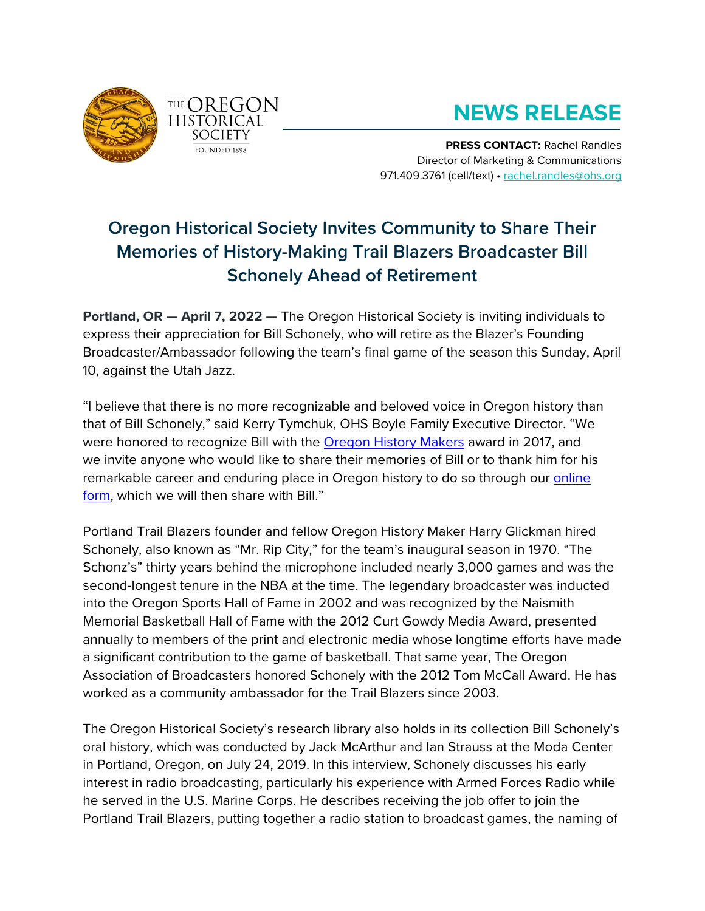



## **NEWS RELEASE**

**PRESS CONTACT:** Rachel Randles Director of Marketing & Communications 971.409.3761 (cell/text) • [rachel.randles@ohs.org](mailto:rachel.randles@ohs.org)

## **Oregon Historical Society Invites Community to Share Their Memories of History-Making Trail Blazers Broadcaster Bill Schonely Ahead of Retirement**

**Portland, OR — April 7, 2022 —** The Oregon Historical Society is inviting individuals to express their appreciation for Bill Schonely, who will retire as the Blazer's Founding Broadcaster/Ambassador following the team's final game of the season this Sunday, April 10, against the Utah Jazz.

"I believe that there is no more recognizable and beloved voice in Oregon history than that of Bill Schonely," said Kerry Tymchuk, OHS Boyle Family Executive Director. "We were honored to recognize Bill with the [Oregon History Makers](https://www.ohs.org/support/history-makers.cfm) award in 2017, and we invite anyone who would like to share their memories of Bill or to thank him for his remarkable career and enduring place in Oregon history to do so through our [online](https://forms.gle/XBBZ1Y2omNTP58Yj9)  [form,](https://forms.gle/XBBZ1Y2omNTP58Yj9) which we will then share with Bill."

Portland Trail Blazers founder and fellow Oregon History Maker Harry Glickman hired Schonely, also known as "Mr. Rip City," for the team's inaugural season in 1970. "The Schonz's" thirty years behind the microphone included nearly 3,000 games and was the second-longest tenure in the NBA at the time. The legendary broadcaster was inducted into the Oregon Sports Hall of Fame in 2002 and was recognized by the Naismith Memorial Basketball Hall of Fame with the 2012 Curt Gowdy Media Award, presented annually to members of the print and electronic media whose longtime efforts have made a significant contribution to the game of basketball. That same year, The Oregon Association of Broadcasters honored Schonely with the 2012 Tom McCall Award. He has worked as a community ambassador for the Trail Blazers since 2003.

The Oregon Historical Society's research library also holds in its collection Bill Schonely's oral history, which was conducted by Jack McArthur and Ian Strauss at the Moda Center in Portland, Oregon, on July 24, 2019. In this interview, Schonely discusses his early interest in radio broadcasting, particularly his experience with Armed Forces Radio while he served in the U.S. Marine Corps. He describes receiving the job offer to join the Portland Trail Blazers, putting together a radio station to broadcast games, the naming of